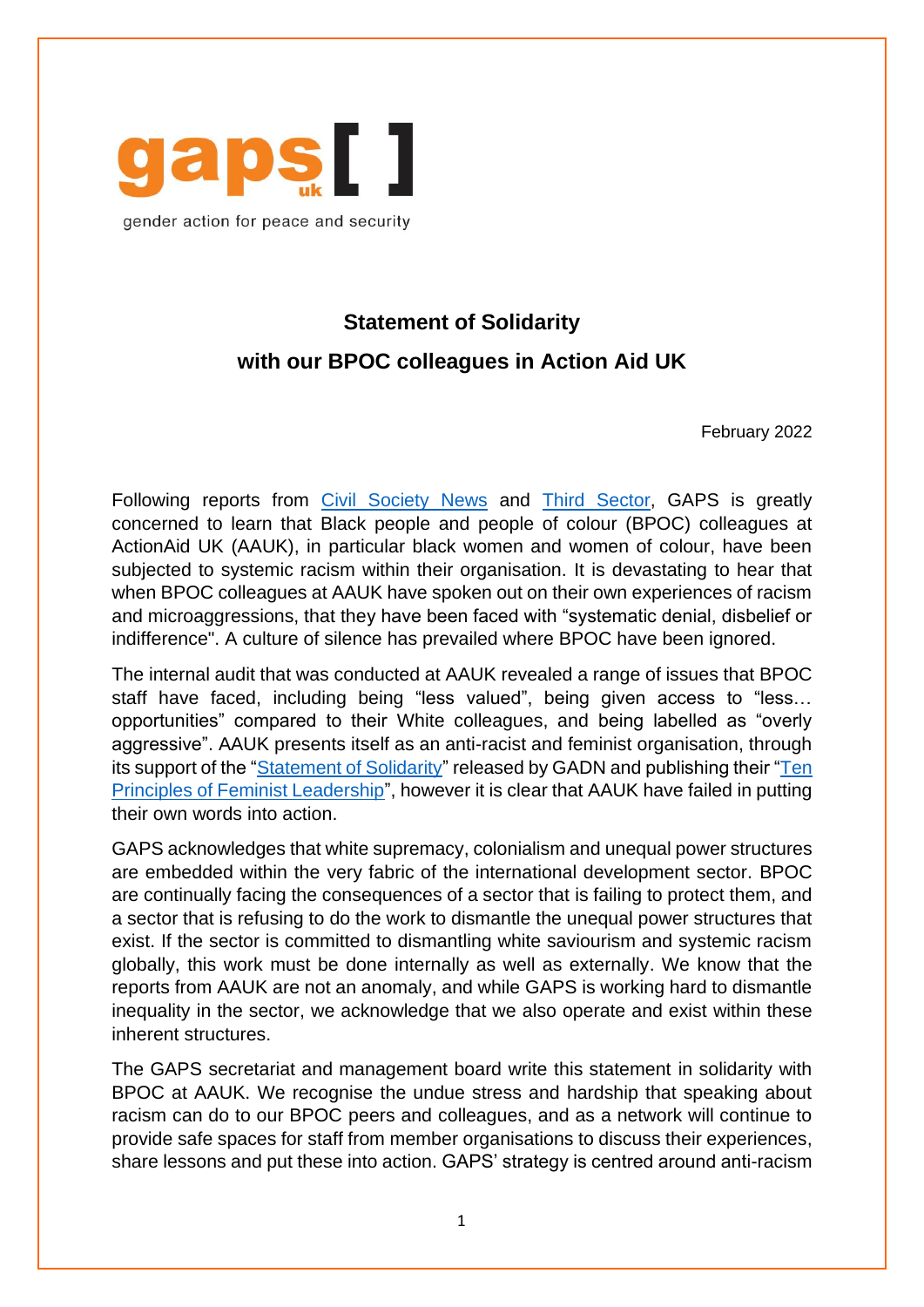

gender action for peace and security

## **Statement of Solidarity with our BPOC colleagues in Action Aid UK**

February 2022

Following reports from [Civil Society News](https://www.civilsociety.co.uk/news/staff-experienced-racism-at-action-aid-uk-review-finds.html) and [Third Sector,](https://www.thirdsector.co.uk/actionaid-uk-sorry-internal-report-finds-denial-disbelief-indifference-racism/management/article/1737554) GAPS is greatly concerned to learn that Black people and people of colour (BPOC) colleagues at ActionAid UK (AAUK), in particular black women and women of colour, have been subjected to systemic racism within their organisation. It is devastating to hear that when BPOC colleagues at AAUK have spoken out on their own experiences of racism and microaggressions, that they have been faced with "systematic denial, disbelief or indifference". A culture of silence has prevailed where BPOC have been ignored.

The internal audit that was conducted at AAUK revealed a range of issues that BPOC staff have faced, including being "less valued", being given access to "less… opportunities" compared to their White colleagues, and being labelled as "overly aggressive". AAUK presents itself as an anti-racist and feminist organisation, through its support of the ["Statement of Solidarity"](https://www.actionaid.org.uk/latest-news/actionaid-uk-supports-gadns-anti-racism-statement) released by GADN and publishing their ["Ten](https://www.actionaid.org.uk/about-us/people-and-culture/how-we-practise-feminism-at-work)  [Principles of Feminist Leadership"](https://www.actionaid.org.uk/about-us/people-and-culture/how-we-practise-feminism-at-work), however it is clear that AAUK have failed in putting their own words into action.

GAPS acknowledges that white supremacy, colonialism and unequal power structures are embedded within the very fabric of the international development sector. BPOC are continually facing the consequences of a sector that is failing to protect them, and a sector that is refusing to do the work to dismantle the unequal power structures that exist. If the sector is committed to dismantling white saviourism and systemic racism globally, this work must be done internally as well as externally. We know that the reports from AAUK are not an anomaly, and while GAPS is working hard to dismantle inequality in the sector, we acknowledge that we also operate and exist within these inherent structures.

The GAPS secretariat and management board write this statement in solidarity with BPOC at AAUK. We recognise the undue stress and hardship that speaking about racism can do to our BPOC peers and colleagues, and as a network will continue to provide safe spaces for staff from member organisations to discuss their experiences, share lessons and put these into action. GAPS' strategy is centred around anti-racism